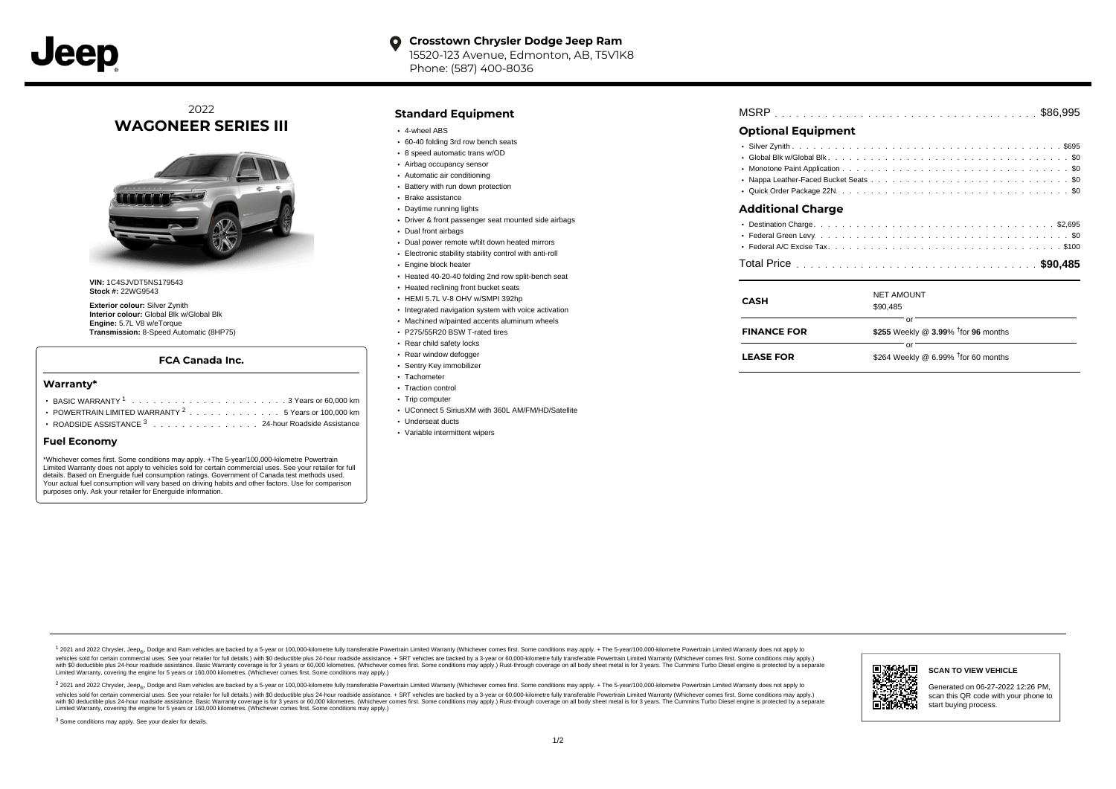

## 2022 **WAGONEER SERIES III**



**VIN:** 1C4SJVDT5NS179543 **Stock #:** 22WG9543

**Exterior colour:** Silver Zynith **Interior colour:** Global Blk w/Global Blk **Engine:** 5.7L V8 w/eTorque **Transmission:** 8-Speed Automatic (8HP75)

## **FCA Canada Inc.**

#### **Warranty\***

| POWERTRAIN LIMITED WARRANTY <sup>2</sup> 5 Years or 100,000 km |  |  |  |  |  |
|----------------------------------------------------------------|--|--|--|--|--|

ROADSIDE ASSISTANCE 3 . . . . . . . . . . . . . . . 24-hour Roadside Assistance

## **Fuel Economy**

\*Whichever comes first. Some conditions may apply. +The 5-year/100,000-kilometre Powertrain Limited Warranty does not apply to vehicles sold for certain commercial uses. See your retailer for full details. Based on Energuide fuel consumption ratings. Government of Canada test methods used. Your actual fuel consumption will vary based on driving habits and other factors. Use for comparison purposes only. Ask your retailer for Energuide information.

### **Standard Equipment**

- 4-wheel ABS
- 60-40 folding 3rd row bench seats
- 8 speed automatic trans w/OD
- Airbag occupancy sensor
- Automatic air conditioning
- Battery with run down protection
- Brake assistance
- Daytime running lights
- Driver & front passenger seat mounted side airbags
- Dual front airbags
- Dual power remote w/tilt down heated mirrors
- Electronic stability stability control with anti-roll
- Engine block heater
- Heated 40-20-40 folding 2nd row split-bench seat
- **Heated reclining front bucket seats**
- HEMI 5.7L V-8 OHV w/SMPI 392hp
- Integrated navigation system with voice activation
- Machined w/painted accents aluminum wheels
- P275/55R20 BSW T-rated tires
- Rear child safety locks
- Rear window defogger
- Sentry Key immobilizer
- Tachometer • Traction control
- Trip computer
- UConnect 5 SiriusXM with 360L AM/FM/HD/Satellite
- Underseat ducts
- Variable intermittent wipers

| <b>Optional Equipment</b> |  |  |
|---------------------------|--|--|
|                           |  |  |

#### . . . . . . . . . . . . . . . . . . . . . . . . . . . . . . . . . . . . . . . . . . . . . . Global Blk w/Global Blk \$0 . . . . . . . . . . . . . . . . . . . . . . . . . . . . . . . . . . . . . . . . . . . . . . Monotone Paint Application \$0 Nappa Leather-Faced Bucket Seats .............................. . . . . . . . . . . . . . . . . . . . . . . . . . . . . . . . . . . . . . . . . . . . . . . Quick Order Package 22N \$0

## **Additional Charge**

| <b>CASH</b>        | <b>NET AMOUNT</b><br>\$90,485                            |  |
|--------------------|----------------------------------------------------------|--|
| <b>FINANCE FOR</b> | or<br>\$255 Weekly @ $3.99\%$ <sup>†</sup> for 96 months |  |
| <b>LEASE FOR</b>   | or<br>\$264 Weekly @ 6.99% $†$ for 60 months             |  |

1 2021 and 2022 Chrysler, Jeep<sub>en</sub> Dodge and Ram vehicles are backed by a 5-year or 100,000-kilometre fully transferable Powertrain Limited Warranty (Whichever comes first. Some conditions may apply. + The 5-year/100,000-k debt of the product of the control and season to the control and the control of the control of the control of the control of the control of the SA-hour madside assistance. + SRT vehicles are backed by a 3-year or 60.00-kil ventals and contract when the contract when the contract you contract when the contract when the control of the set of a set of a set of a set of 3 years of 60,000 kilometres. Whichever comes first. Some conditions may app Limited Warranty, covering the engine for 5 years or 160,000 kilometres. (Whichever comes first. Some conditions may apply.)

2 2021 and 2022 Chrysler, Jeep<sub>es</sub> Dodge and Ram vehicles are backed by a 5-year or 100,000-kilometre fully transferable Powertrain Limited Warranty (Whichever comes first. Some conditions may apply. + The 5-year/100,000-k vehicles sold for certain commercial uses. See your retailer for full details.) with SO deductible plus 24-hour roadside assistance. + SRT vehicles are backed by a 3-year or 60.000-kilometre fully transferable Powertrain L with S0 deductible plus 24-hour roadside assistance. Basic Warranty coverage is for 3 years or 60,000 kilometres. (Whichever comes first. Some conditions may apply.) Rust-through coverage on all body sheet metal is for 3 y



#### **SCAN TO VIEW VEHICLE**

Generated on 06-27-2022 12:26 PM, scan this QR code with your phone to start buying process.

<sup>3</sup> Some conditions may apply. See your dealer for details.